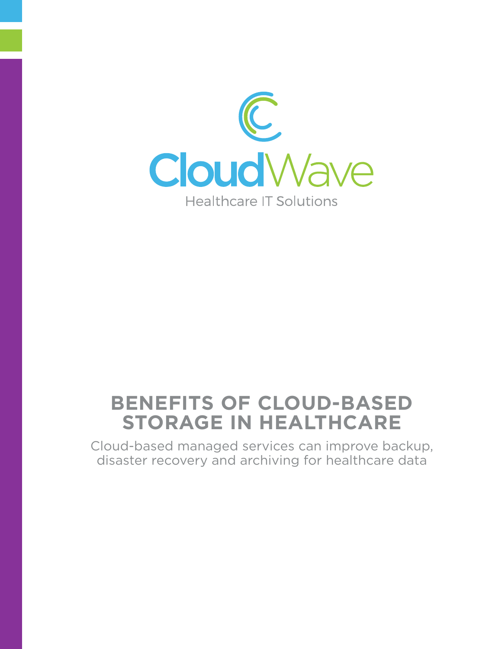

# **Benefits of Cloud-Based Storage in Healthcare**

Cloud-based managed services can improve backup, disaster recovery and archiving for healthcare data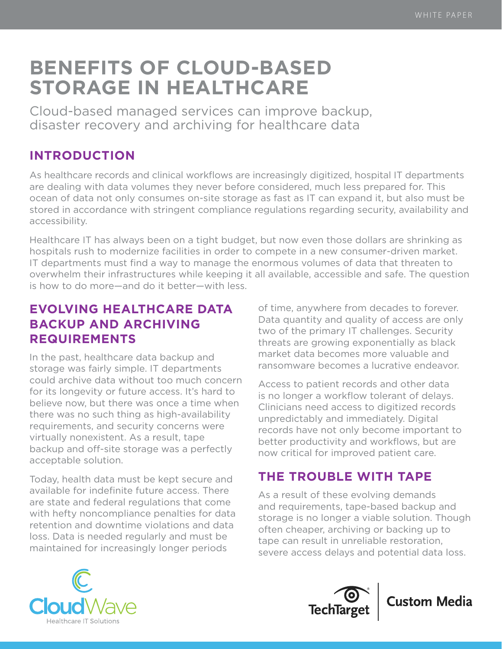# **Benefits of Cloud-Based Storage in Healthcare**

Cloud-based managed services can improve backup, disaster recovery and archiving for healthcare data

## **INTRODUCTION**

As healthcare records and clinical workflows are increasingly digitized, hospital IT departments are dealing with data volumes they never before considered, much less prepared for. This ocean of data not only consumes on-site storage as fast as IT can expand it, but also must be stored in accordance with stringent compliance regulations regarding security, availability and accessibility.

Healthcare IT has always been on a tight budget, but now even those dollars are shrinking as hospitals rush to modernize facilities in order to compete in a new consumer-driven market. IT departments must find a way to manage the enormous volumes of data that threaten to overwhelm their infrastructures while keeping it all available, accessible and safe. The question is how to do more—and do it better—with less.

## **Evolving healthcare data backup and archiving requirements**

In the past, healthcare data backup and storage was fairly simple. IT departments could archive data without too much concern for its longevity or future access. It's hard to believe now, but there was once a time when there was no such thing as high-availability requirements, and security concerns were virtually nonexistent. As a result, tape backup and off-site storage was a perfectly acceptable solution.

Today, health data must be kept secure and available for indefinite future access. There are state and federal regulations that come with hefty noncompliance penalties for data retention and downtime violations and data loss. Data is needed regularly and must be maintained for increasingly longer periods

of time, anywhere from decades to forever. Data quantity and quality of access are only two of the primary IT challenges. Security threats are growing exponentially as black market data becomes more valuable and ransomware becomes a lucrative endeavor.

Access to patient records and other data is no longer a workflow tolerant of delays. Clinicians need access to digitized records unpredictably and immediately. Digital records have not only become important to better productivity and workflows, but are now critical for improved patient care.

# **The trouble with tape**

As a result of these evolving demands and requirements, tape-based backup and storage is no longer a viable solution. Though often cheaper, archiving or backing up to tape can result in unreliable restoration, severe access delays and potential data loss.





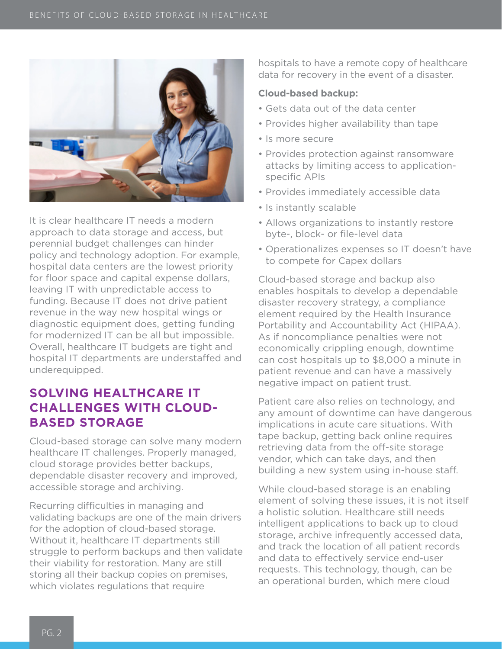

It is clear healthcare IT needs a modern approach to data storage and access, but perennial budget challenges can hinder policy and technology adoption. For example, hospital data centers are the lowest priority for floor space and capital expense dollars, leaving IT with unpredictable access to funding. Because IT does not drive patient revenue in the way new hospital wings or diagnostic equipment does, getting funding for modernized IT can be all but impossible. Overall, healthcare IT budgets are tight and hospital IT departments are understaffed and underequipped.

## **Solving healthcare IT challenges with cloudbased storage**

Cloud-based storage can solve many modern healthcare IT challenges. Properly managed, cloud storage provides better backups, dependable disaster recovery and improved, accessible storage and archiving.

Recurring difficulties in managing and validating backups are one of the main drivers for the adoption of cloud-based storage. Without it, healthcare IT departments still struggle to perform backups and then validate their viability for restoration. Many are still storing all their backup copies on premises, which violates regulations that require

hospitals to have a remote copy of healthcare data for recovery in the event of a disaster.

#### **Cloud-based backup:**

- Gets data out of the data center
- Provides higher availability than tape
- Is more secure
- Provides protection against ransomware attacks by limiting access to applicationspecific APIs
- Provides immediately accessible data
- Is instantly scalable
- Allows organizations to instantly restore byte-, block- or file-level data
- Operationalizes expenses so IT doesn't have to compete for Capex dollars

Cloud-based storage and backup also enables hospitals to develop a dependable disaster recovery strategy, a compliance element required by the Health Insurance Portability and Accountability Act (HIPAA). As if noncompliance penalties were not economically crippling enough, downtime can cost hospitals up to \$8,000 a minute in patient revenue and can have a massively negative impact on patient trust.

Patient care also relies on technology, and any amount of downtime can have dangerous implications in acute care situations. With tape backup, getting back online requires retrieving data from the off-site storage vendor, which can take days, and then building a new system using in-house staff.

While cloud-based storage is an enabling element of solving these issues, it is not itself a holistic solution. Healthcare still needs intelligent applications to back up to cloud storage, archive infrequently accessed data, and track the location of all patient records and data to effectively service end-user requests. This technology, though, can be an operational burden, which mere cloud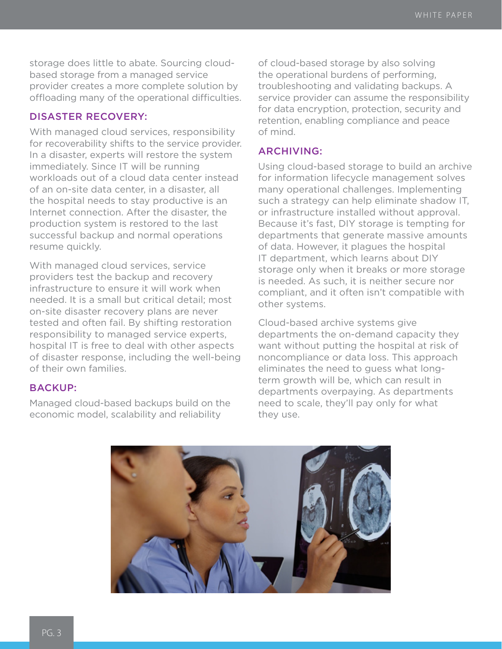storage does little to abate. Sourcing cloudbased storage from a managed service provider creates a more complete solution by offloading many of the operational difficulties.

## Disaster recovery:

With managed cloud services, responsibility for recoverability shifts to the service provider. In a disaster, experts will restore the system immediately. Since IT will be running workloads out of a cloud data center instead of an on-site data center, in a disaster, all the hospital needs to stay productive is an Internet connection. After the disaster, the production system is restored to the last successful backup and normal operations resume quickly.

With managed cloud services, service providers test the backup and recovery infrastructure to ensure it will work when needed. It is a small but critical detail; most on-site disaster recovery plans are never tested and often fail. By shifting restoration responsibility to managed service experts, hospital IT is free to deal with other aspects of disaster response, including the well-being of their own families.

### Backup:

Managed cloud-based backups build on the economic model, scalability and reliability

of cloud-based storage by also solving the operational burdens of performing, troubleshooting and validating backups. A service provider can assume the responsibility for data encryption, protection, security and retention, enabling compliance and peace of mind.

### Archiving:

Using cloud-based storage to build an archive for information lifecycle management solves many operational challenges. Implementing such a strategy can help eliminate shadow IT, or infrastructure installed without approval. Because it's fast, DIY storage is tempting for departments that generate massive amounts of data. However, it plagues the hospital IT department, which learns about DIY storage only when it breaks or more storage is needed. As such, it is neither secure nor compliant, and it often isn't compatible with other systems.

Cloud-based archive systems give departments the on-demand capacity they want without putting the hospital at risk of noncompliance or data loss. This approach eliminates the need to guess what longterm growth will be, which can result in departments overpaying. As departments need to scale, they'll pay only for what they use.